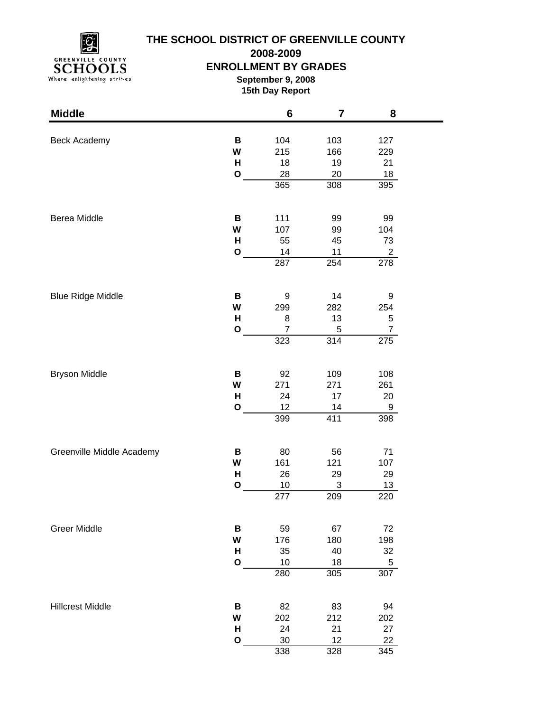

**2008-2009**

### **ENROLLMENT BY GRADES**

**September 9, 2008 15th Day Report**

| <b>Middle</b>             |              | $6\phantom{1}6$ | 7           | 8                  |  |
|---------------------------|--------------|-----------------|-------------|--------------------|--|
|                           |              |                 |             |                    |  |
| Beck Academy              | B            | 104             | 103         | 127                |  |
|                           | W<br>H       | 215<br>18       | 166<br>19   | 229<br>21          |  |
|                           | $\mathbf O$  | 28              | 20          | 18                 |  |
|                           |              | 365             | 308         | 395                |  |
|                           |              |                 |             |                    |  |
| Berea Middle              | B            | 111             | 99          | 99                 |  |
|                           | W            | 107             | 99          | 104                |  |
|                           | H            | 55              | 45          | 73                 |  |
|                           | $\mathbf O$  | 14              | 11          | $\overline{2}$     |  |
|                           |              | 287             | 254         | 278                |  |
|                           | В            | 9               |             |                    |  |
| <b>Blue Ridge Middle</b>  | W            |                 | 14<br>282   | 9                  |  |
|                           | H            | 299<br>8        | 13          | 254<br>$\mathbf 5$ |  |
|                           | $\mathbf{o}$ | $\overline{7}$  | $\mathbf 5$ | $\overline{7}$     |  |
|                           |              | 323             | 314         | 275                |  |
|                           |              |                 |             |                    |  |
| <b>Bryson Middle</b>      | В            | 92              | 109         | 108                |  |
|                           | W            | 271             | 271         | 261                |  |
|                           | Н            | 24              | 17          | 20                 |  |
|                           | $\mathbf{o}$ | 12              | 14          | 9                  |  |
|                           |              | 399             | 411         | 398                |  |
| Greenville Middle Academy | В            | 80              | 56          | 71                 |  |
|                           | W            | 161             | 121         | 107                |  |
|                           | Н            | 26              | 29          | 29                 |  |
|                           | $\mathbf{o}$ | 10              | $\sqrt{3}$  | 13                 |  |
|                           |              | 277             | 209         | 220                |  |
| <b>Greer Middle</b>       | В            | 59              | 67          | 72                 |  |
|                           | W            | 176             | 180         | 198                |  |
|                           | Н            | 35              | 40          | 32                 |  |
|                           | $\mathbf{o}$ | 10              | 18          | 5                  |  |
|                           |              | 280             | 305         | 307                |  |
|                           |              |                 |             |                    |  |
| <b>Hillcrest Middle</b>   | В            | 82              | 83          | 94                 |  |
|                           | W            | 202             | 212         | 202                |  |
|                           | H            | 24              | 21          | 27                 |  |
|                           | $\mathbf{o}$ | 30              | 12          | 22                 |  |
|                           |              | 338             | 328         | 345                |  |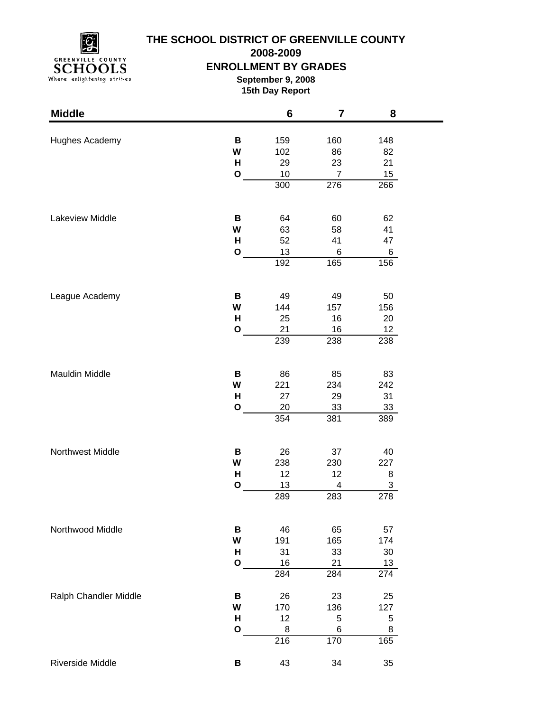

**2008-2009**

### **ENROLLMENT BY GRADES**

**September 9, 2008 15th Day Report**

| <b>Middle</b>         |              | $6\phantom{1}$   | $\overline{\mathbf{7}}$ | 8                |  |
|-----------------------|--------------|------------------|-------------------------|------------------|--|
|                       |              |                  |                         |                  |  |
| Hughes Academy        | В<br>W       | 159<br>102       | 160<br>86               | 148<br>82        |  |
|                       | H            | 29               | 23                      | 21               |  |
|                       | $\mathbf{o}$ | 10               | $\overline{7}$          | 15               |  |
|                       |              | 300              | 276                     | 266              |  |
|                       |              |                  |                         |                  |  |
| Lakeview Middle       | В            | 64               | 60                      | 62               |  |
|                       | W            | 63               | 58                      | 41               |  |
|                       | н            | 52               | 41                      | 47               |  |
|                       | $\mathbf{o}$ | 13               | 6                       | 6                |  |
|                       |              | 192              | 165                     | 156              |  |
| League Academy        | В            | 49               | 49                      | 50               |  |
|                       | W            | 144              | 157                     | 156              |  |
|                       | H            | 25               | 16                      | 20               |  |
|                       | $\mathbf{o}$ | 21               | 16                      | 12               |  |
|                       |              | 239              | 238                     | 238              |  |
|                       |              |                  |                         |                  |  |
| Mauldin Middle        | В            | 86               | 85                      | 83               |  |
|                       | W            | 221              | 234                     | 242              |  |
|                       | H            | 27               | 29                      | 31               |  |
|                       | $\mathbf{o}$ | 20               | 33                      | 33               |  |
|                       |              | 354              | 381                     | 389              |  |
| Northwest Middle      | В            | 26               | 37                      | 40               |  |
|                       | W            | 238              | 230                     | 227              |  |
|                       | Н            | 12               | 12                      | 8                |  |
|                       | $\mathbf{o}$ | 13               | 4                       | 3                |  |
|                       |              | 289              | 283                     | 278              |  |
| Northwood Middle      | B            | 46               | 65                      | 57               |  |
|                       | W            | 191              | 165                     | 174              |  |
|                       | H            | 31               | 33                      | $30\,$           |  |
|                       | $\mathbf{o}$ | 16               | 21                      | 13               |  |
|                       |              | $\overline{284}$ | 284                     | $\overline{274}$ |  |
| Ralph Chandler Middle | В            | 26               | 23                      | 25               |  |
|                       | W            | 170              | 136                     | 127              |  |
|                       | н            | 12               | 5                       | $\mathbf 5$      |  |
|                       | $\mathbf O$  | 8                | 6                       | 8                |  |
|                       |              | 216              | 170                     | 165              |  |
| Riverside Middle      | В            | 43               | 34                      | 35               |  |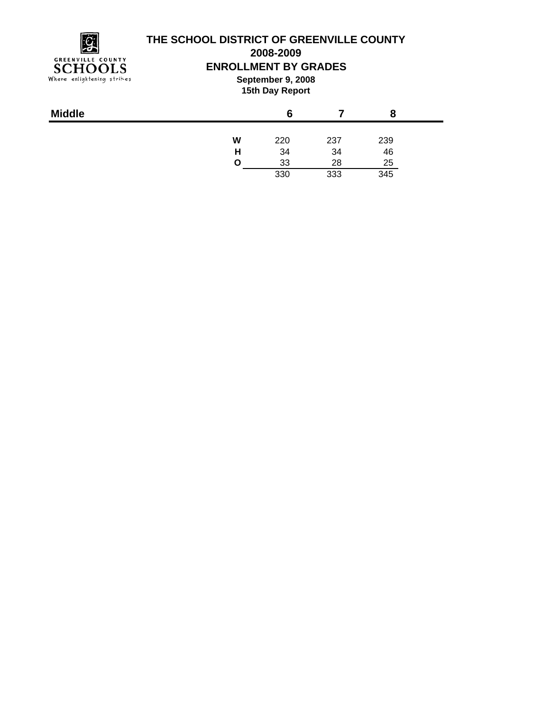

**2008-2009**

### **ENROLLMENT BY GRADES**

**September 9, 2008 15th Day Report**

|   | 6   |     |     |
|---|-----|-----|-----|
| W | 220 | 237 | 239 |
| н | 34  | 34  | 46  |
| O | 33  | 28  | 25  |
|   | 330 | 333 | 345 |
|   |     |     |     |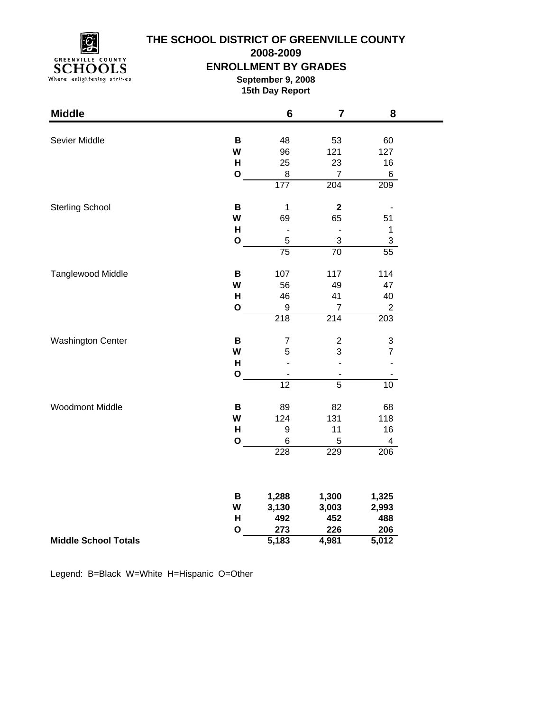

**2008-2009**

#### **ENROLLMENT BY GRADES**

**September 9, 2008 15th Day Report**

| <b>Middle</b>               |              | $6\phantom{1}6$  | $\overline{7}$          | 8                         |
|-----------------------------|--------------|------------------|-------------------------|---------------------------|
|                             |              |                  |                         |                           |
| Sevier Middle               | B<br>W       | 48               | 53                      | 60                        |
|                             | H            | 96<br>25         | 121<br>23               | 127                       |
|                             | $\mathbf O$  | $\,8\,$          | $\overline{7}$          | 16<br>6                   |
|                             |              | 177              | 204                     | 209                       |
|                             |              |                  |                         |                           |
| <b>Sterling School</b>      | B            | $\mathbf{1}$     | $\overline{\mathbf{2}}$ |                           |
|                             | W            | 69               | 65                      | 51                        |
|                             | H            |                  |                         | $\mathbf{1}$              |
|                             | $\mathbf{o}$ | 5                | 3                       | $\mathsf 3$               |
|                             |              | $\overline{75}$  | $\overline{70}$         | $\overline{55}$           |
| Tanglewood Middle           | $\, {\bf B}$ | 107              | 117                     | 114                       |
|                             | W            | 56               | 49                      | 47                        |
|                             | н            | 46               | 41                      | 40                        |
|                             | $\mathbf{o}$ | $\boldsymbol{9}$ | $\overline{7}$          | $\overline{2}$            |
|                             |              | 218              | $\overline{214}$        | 203                       |
| <b>Washington Center</b>    | B            | $\overline{7}$   | $\overline{c}$          | $\ensuremath{\mathsf{3}}$ |
|                             | W            | 5                | 3                       | $\overline{7}$            |
|                             | H            |                  | L,                      | ÷,                        |
|                             | $\mathbf{o}$ |                  |                         |                           |
|                             |              | $\overline{12}$  | $\overline{5}$          | $\overline{10}$           |
| <b>Woodmont Middle</b>      | B            | 89               | 82                      | 68                        |
|                             | W            | 124              | 131                     | 118                       |
|                             | H            | $\boldsymbol{9}$ | 11                      | 16                        |
|                             | $\mathbf{o}$ | 6                | 5                       | $\overline{\mathbf{4}}$   |
|                             |              | 228              | 229                     | 206                       |
|                             |              |                  |                         |                           |
|                             | В            | 1,288            | 1,300                   | 1,325                     |
|                             | W            | 3,130            | 3,003                   | 2,993                     |
|                             | H            | 492              | 452                     | 488                       |
|                             | $\mathbf{o}$ | 273              | 226                     | 206                       |
| <b>Middle School Totals</b> |              | 5,183            | 4,981                   | $\overline{5,012}$        |

Legend: B=Black W=White H=Hispanic O=Other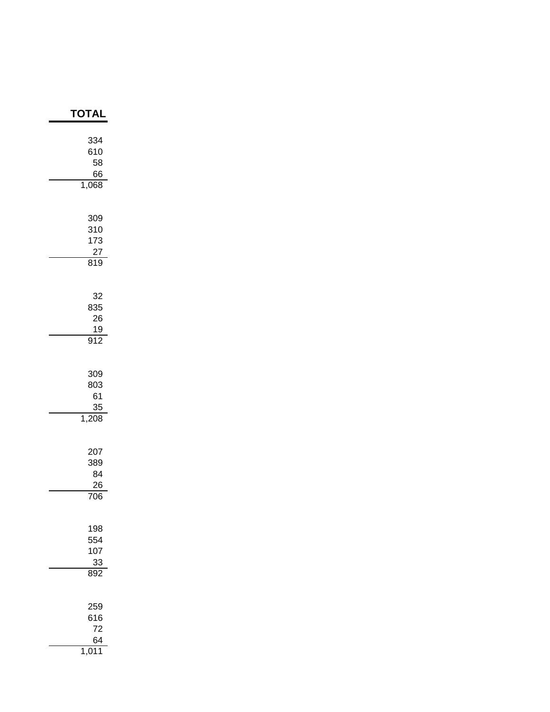| ΓΟΤΑ                                       |
|--------------------------------------------|
| 334<br>610<br>58<br>66<br>1,068            |
| 309<br>310<br>173<br>27<br>819             |
| 32<br>835<br>26<br>19<br>$\overline{912}$  |
| 309<br>803<br>61<br>35<br>1,208            |
| 207<br>389<br>84<br>26<br>$\overline{706}$ |
| 198<br>554<br>107<br>33<br>892             |
| 259<br>616<br>72<br>64                     |

1,011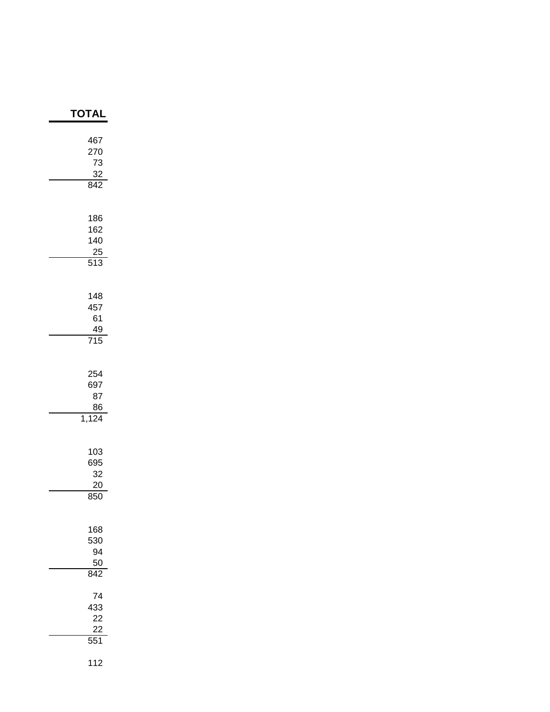| <b>TOTAI</b>                                           |
|--------------------------------------------------------|
| 467<br>270<br>73<br>$\frac{32}{842}$                   |
| 186<br>162<br>140<br>$\frac{25}{513}$                  |
| 148<br>457<br>61<br>$\frac{49}{715}$                   |
| 254<br>697<br>87<br>$\frac{86}{1,124}$                 |
| 103<br>695<br>32<br>$\frac{20}{2}$<br>$\overline{850}$ |
| 168<br>530<br>94<br>$\frac{50}{842}$                   |
| 74<br>433<br>22<br>22<br>$\overline{551}$              |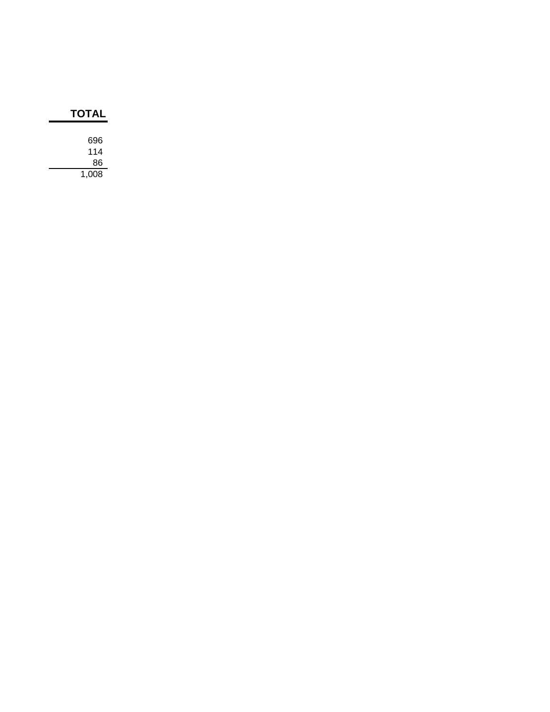| TOTAL |  |  |
|-------|--|--|
|       |  |  |
| 696   |  |  |
| 114   |  |  |
| 86    |  |  |
| 1.008 |  |  |